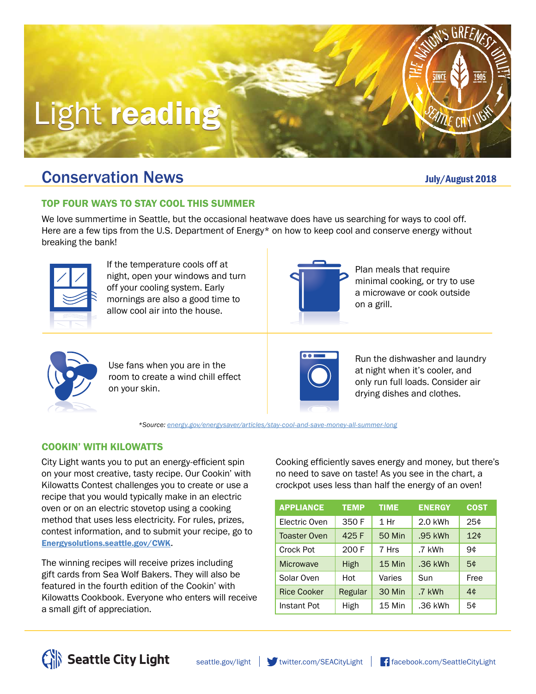# Light reading

### **Conservation News Conservation News July/August 2018**

#### TOP FOUR WAYS TO STAY COOL THIS SUMMER

We love summertime in Seattle, but the occasional heatwave does have us searching for ways to cool off. Here are a few tips from the U.S. Department of Energy\* on how to keep cool and conserve energy without breaking the bank!



If the temperature cools off at night, open your windows and turn off your cooling system. Early mornings are also a good time to allow cool air into the house.



Plan meals that require minimal cooking, or try to use a microwave or cook outside on a grill.



Use fans when you are in the room to create a wind chill effect on your skin.



Run the dishwasher and laundry at night when it's cooler, and only run full loads. Consider air drying dishes and clothes.

*\*Source: [energy.gov/energysaver/articles/stay-cool-and-save-money-all-summer-long](https://www.energy.gov/energysaver/articles/stay-cool-and-save-money-all-summer-long)*

#### COOKIN' WITH KILOWATTS

City Light wants you to put an energy-efficient spin on your most creative, tasty recipe. Our Cookin' with Kilowatts Contest challenges you to create or use a recipe that you would typically make in an electric oven or on an electric stovetop using a cooking method that uses less electricity. For rules, prizes, contest information, and to submit your recipe, go to [Energysolutions.seattle.gov/CWK](http://www.energysolutions.seattle.gov/CWK).

The winning recipes will receive prizes including gift cards from Sea Wolf Bakers. They will also be featured in the fourth edition of the Cookin' with Kilowatts Cookbook. Everyone who enters will receive a small gift of appreciation.

Cooking efficiently saves energy and money, but there's no need to save on taste! As you see in the chart, a crockpot uses less than half the energy of an oven!

| <b>APPLIANCE</b>    | <b>TEMP</b> | <b>TIME</b>   | <b>ENERGY</b> | <b>COST</b> |
|---------------------|-------------|---------------|---------------|-------------|
| Electric Oven       | 350 F       | 1 Hr          | 2.0 kWh       | 25¢         |
| <b>Toaster Oven</b> | 425 F       | <b>50 Min</b> | .95 kWh       | 12¢         |
| Crock Pot           | 200 F       | 7 Hrs         | .7 kWh        | 9¢          |
| Microwave           | High        | 15 Min        | .36 kWh       | 5¢          |
| Solar Oven          | Hot         | Varies        | Sun           | Free        |
| <b>Rice Cooker</b>  | Regular     | 30 Min        | .7 kWh        | 4¢          |
| Instant Pot         | High        | 15 Min        | .36 kWh       | 5¢          |





**ATTLE CITY IV**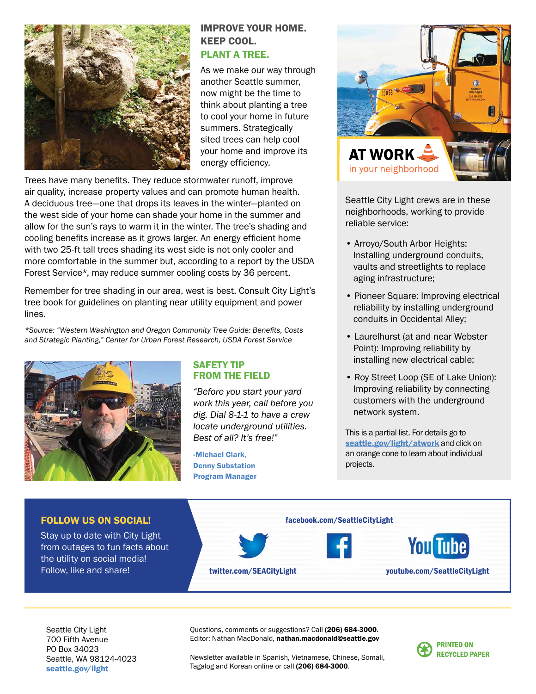

#### IMPROVE YOUR HOME. KEEP COOL.

#### PLANT A TREE.

As we make our way through another Seattle summer, now might be the time to think about planting a tree to cool your home in future summers. Strategically sited trees can help cool your home and improve its energy efficiency.

Trees have many benefits. They reduce stormwater runoff, improve air quality, increase property values and can promote human health. A deciduous tree—one that drops its leaves in the winter—planted on the west side of your home can shade your home in the summer and allow for the sun's rays to warm it in the winter. The tree's shading and cooling benefits increase as it grows larger. An energy efficient home with two 25-ft tall trees shading its west side is not only cooler and more comfortable in the summer but, according to a report by the USDA Forest Service\*, may reduce summer cooling costs by 36 percent.

Remember for tree shading in our area, west is best. Consult City Light's tree book for guidelines on planting near utility equipment and power lines.

*\*Source: "Western Washington and Oregon Community Tree Guide: Benefits, Costs and Strategic Planting," Center for Urban Forest Research, USDA Forest Service*



#### SAFETY TIP FROM THE FIELD

*"Before you start your yard work this year, call before you dig. Dial 8-1-1 to have a crew locate underground utilities. Best of all? It's free!"*

-Michael Clark, Denny Substation Program Manager



Seattle City Light crews are in these neighborhoods, working to provide reliable service:

- Arroyo/South Arbor Heights: Installing underground conduits, vaults and streetlights to replace aging infrastructure;
- Pioneer Square: Improving electrical reliability by installing underground conduits in Occidental Alley;
- Laurelhurst (at and near Webster Point): Improving reliability by installing new electrical cable;
- Roy Street Loop (SE of Lake Union): Improving reliability by connecting customers with the underground network system.

This is a partial list. For details go to [seattle.gov/light/atwork](http://www.seattle.gov/light/atwork) and click on an orange cone to learn about individual projects.



Seattle City Light 700 Fifth Avenue PO Box 34023 Seattle, WA 98124-4023 [seattle.gov/light](http://www.seattle.gov/light)

Questions, comments or suggestions? Call (206) 684-3000. Editor: Nathan MacDonald, nathan.macdonald@seattle.gov

Newsletter available in Spanish, Vietnamese, Chinese, Somali, Tagalog and Korean online or call (206) 684-3000.

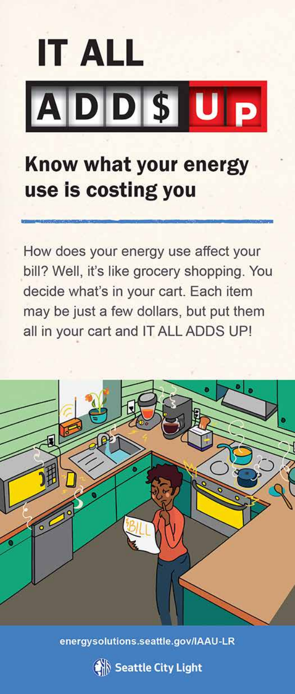# **IT ALL** ADDSUP

### Know what your energy use is costing you

How does your energy use affect your bill? Well, it's like grocery shopping. You decide what's in your cart. Each item may be just a few dollars, but put them all in your cart and IT ALL ADDS UP!



energysolutions.seattle.gov/IAAU-LR